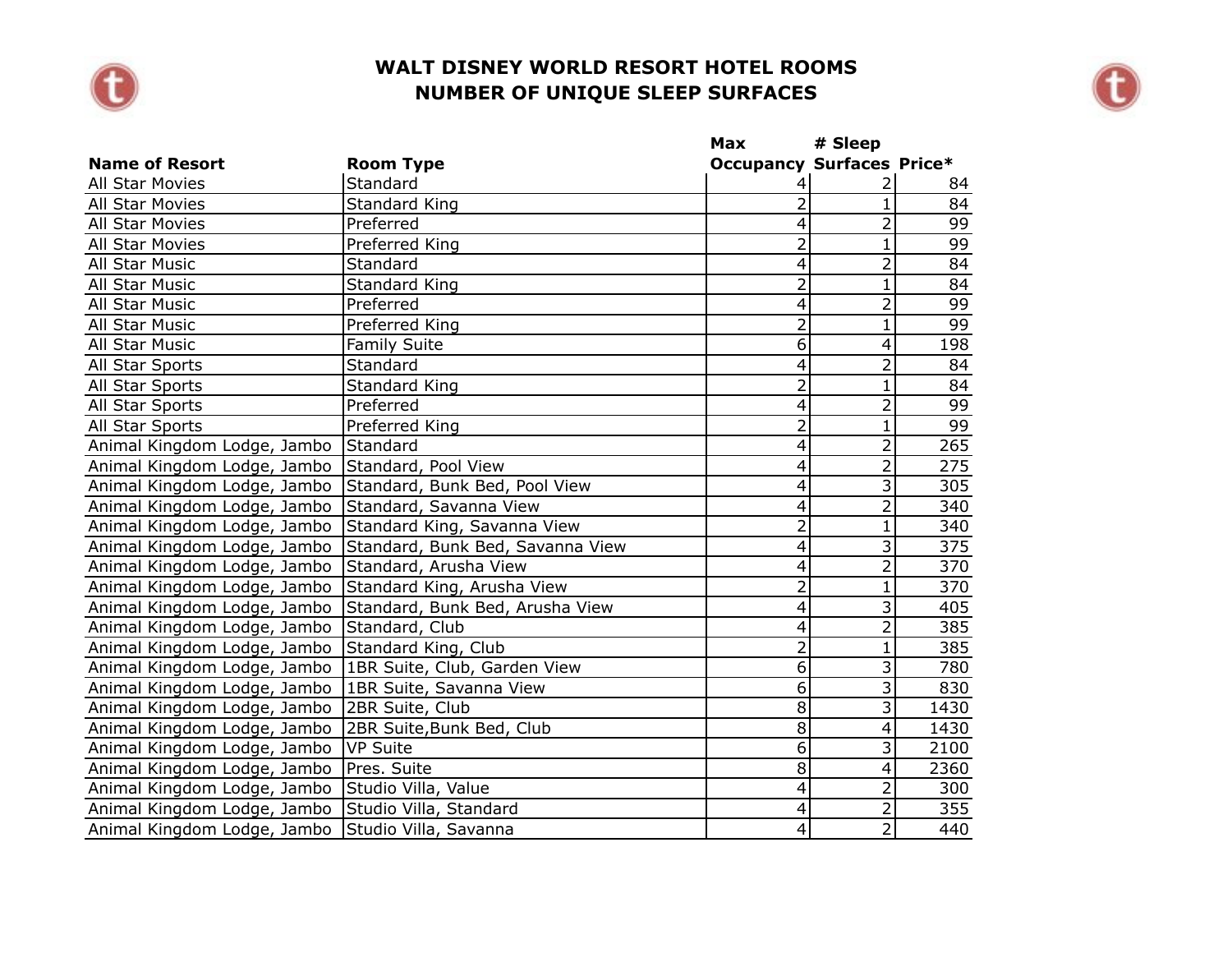



|                                                   |                                  | Max                              | # Sleep                   |      |
|---------------------------------------------------|----------------------------------|----------------------------------|---------------------------|------|
| <b>Name of Resort</b>                             | <b>Room Type</b>                 | <b>Occupancy Surfaces Price*</b> |                           |      |
| All Star Movies                                   | Standard                         | 4                                |                           | 84   |
| <b>All Star Movies</b>                            | <b>Standard King</b>             | $\overline{2}$                   | 1                         | 84   |
| <b>All Star Movies</b>                            | Preferred                        | 4                                | $\overline{2}$            | 99   |
| <b>All Star Movies</b>                            | Preferred King                   | $\overline{2}$                   | $\mathbf{1}$              | 99   |
| All Star Music                                    | Standard                         | 4                                | $\overline{2}$            | 84   |
| All Star Music                                    | <b>Standard King</b>             | $\overline{2}$                   | $\mathbf{1}$              | 84   |
| All Star Music                                    | Preferred                        | $\overline{4}$                   | $\overline{2}$            | 99   |
| All Star Music                                    | Preferred King                   | $\overline{2}$                   | $\overline{1}$            | 99   |
| All Star Music                                    | <b>Family Suite</b>              | $\overline{6}$                   | 4                         | 198  |
| All Star Sports                                   | Standard                         | 4                                | $\overline{2}$            | 84   |
| All Star Sports                                   | Standard King                    | $\overline{2}$                   | $\mathbf{1}$              | 84   |
| All Star Sports                                   | Preferred                        | $\overline{4}$                   | $\overline{2}$            | 99   |
| All Star Sports                                   | Preferred King                   | $\overline{2}$                   | $\mathbf{1}$              | 99   |
| Animal Kingdom Lodge, Jambo                       | Standard                         | 4                                | $\overline{2}$            | 265  |
| Animal Kingdom Lodge, Jambo                       | Standard, Pool View              | 4                                | $\overline{2}$            | 275  |
| Animal Kingdom Lodge, Jambo                       | Standard, Bunk Bed, Pool View    | $\overline{4}$                   | $\overline{3}$            | 305  |
| Animal Kingdom Lodge, Jambo                       | Standard, Savanna View           | 4                                | 2                         | 340  |
| Animal Kingdom Lodge, Jambo                       | Standard King, Savanna View      | $\overline{2}$                   | 1                         | 340  |
| Animal Kingdom Lodge, Jambo                       | Standard, Bunk Bed, Savanna View | 4                                | 3                         | 375  |
| Animal Kingdom Lodge, Jambo                       | Standard, Arusha View            | $\overline{4}$                   | $\overline{2}$            | 370  |
| Animal Kingdom Lodge, Jambo                       | Standard King, Arusha View       | $\overline{2}$                   | $\mathbf{1}$              | 370  |
| Animal Kingdom Lodge, Jambo                       | Standard, Bunk Bed, Arusha View  | 4                                | 3                         | 405  |
| Animal Kingdom Lodge, Jambo                       | Standard, Club                   | 4                                | $\overline{2}$            | 385  |
| Animal Kingdom Lodge, Jambo                       | Standard King, Club              | $\overline{2}$                   | $\mathbf{1}$              | 385  |
| Animal Kingdom Lodge, Jambo                       | 1BR Suite, Club, Garden View     | 6                                | 3                         | 780  |
| Animal Kingdom Lodge, Jambo                       | 1BR Suite, Savanna View          | 6                                | $\overline{3}$            | 830  |
| Animal Kingdom Lodge, Jambo                       | 2BR Suite, Club                  | $\overline{8}$                   | $\overline{\overline{3}}$ | 1430 |
| Animal Kingdom Lodge, Jambo                       | 2BR Suite, Bunk Bed, Club        | $\overline{8}$                   | $\overline{4}$            | 1430 |
| Animal Kingdom Lodge, Jambo                       | VP Suite                         | $\overline{6}$                   | 3                         | 2100 |
| Animal Kingdom Lodge, Jambo                       | Pres. Suite                      | $\overline{8}$                   | 4                         | 2360 |
| Animal Kingdom Lodge, Jambo                       | Studio Villa, Value              | 4                                | $\overline{2}$            | 300  |
| Animal Kingdom Lodge, Jambo                       | Studio Villa, Standard           | 4                                | $\overline{2}$            | 355  |
| Animal Kingdom Lodge, Jambo Studio Villa, Savanna |                                  | $\vert 4 \vert$                  | $\overline{2}$            | 440  |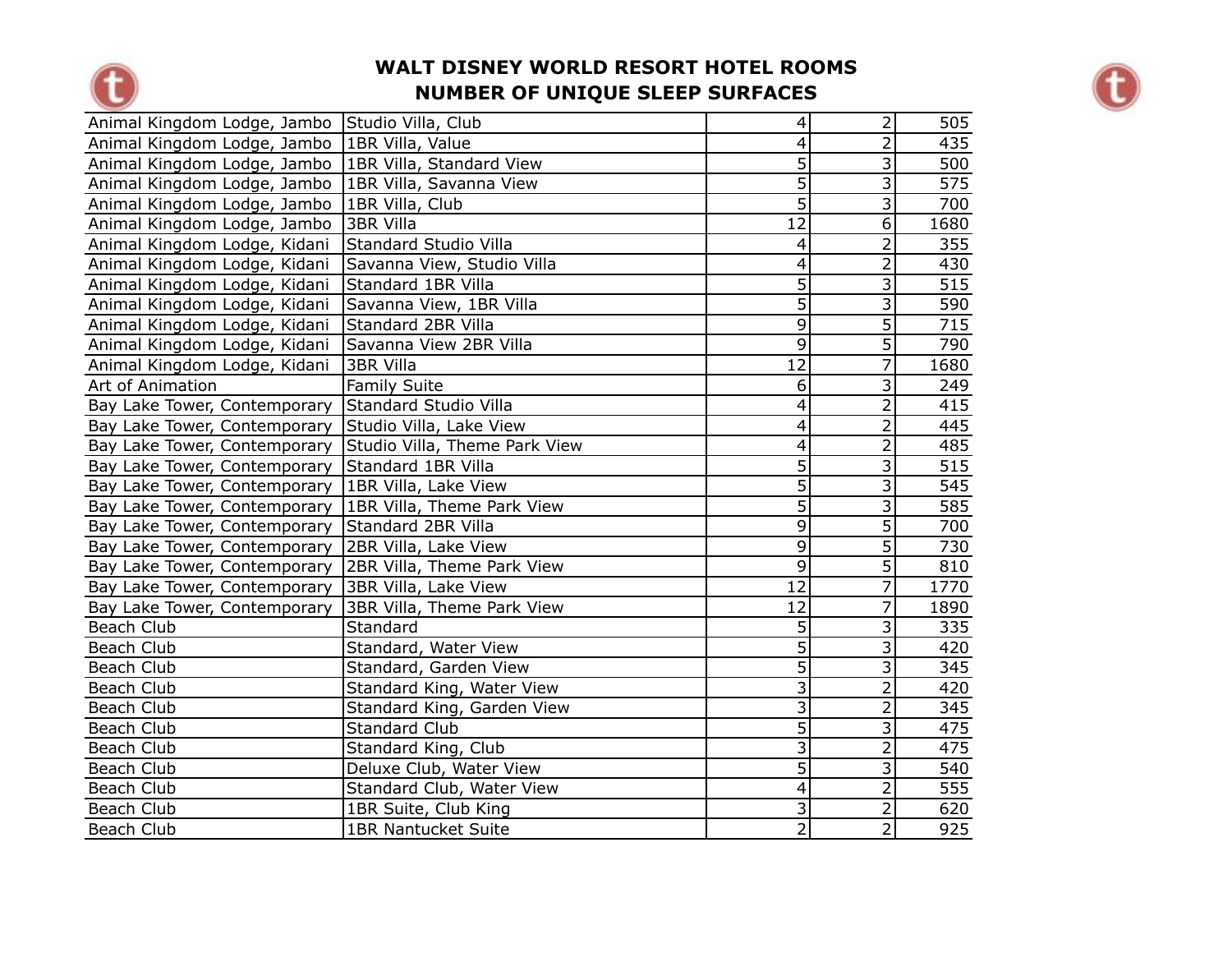



| Animal Kingdom Lodge, Jambo Studio Villa, Club         |                               | $\vert 4 \vert$           | $\overline{2}$ | 505              |
|--------------------------------------------------------|-------------------------------|---------------------------|----------------|------------------|
| Animal Kingdom Lodge, Jambo   1BR Villa, Value         |                               | $\overline{\mathbf{4}}$   | $\overline{2}$ | 435              |
| Animal Kingdom Lodge, Jambo   1BR Villa, Standard View |                               | $\overline{5}$            | 3              | 500              |
| Animal Kingdom Lodge, Jambo   1BR Villa, Savanna View  |                               | $\overline{5}$            | $\overline{3}$ | 575              |
| Animal Kingdom Lodge, Jambo                            | 1BR Villa, Club               | $\overline{5}$            | $\overline{3}$ | 700              |
| Animal Kingdom Lodge, Jambo                            | 3BR Villa                     | $\overline{12}$           | 6              | 1680             |
| Animal Kingdom Lodge, Kidani                           | Standard Studio Villa         | $\overline{\mathcal{A}}$  | $\overline{2}$ | 355              |
| Animal Kingdom Lodge, Kidani                           | Savanna View, Studio Villa    | $\overline{\mathbf{4}}$   | $\overline{2}$ | 430              |
| Animal Kingdom Lodge, Kidani                           | Standard 1BR Villa            | $\overline{5}$            | $\overline{3}$ | 515              |
| Animal Kingdom Lodge, Kidani                           | Savanna View, 1BR Villa       | $\overline{5}$            | $\overline{3}$ | 590              |
| Animal Kingdom Lodge, Kidani                           | Standard 2BR Villa            | $\overline{9}$            | 5              | 715              |
| Animal Kingdom Lodge, Kidani                           | Savanna View 2BR Villa        | $\overline{9}$            | $\overline{5}$ | 790              |
| Animal Kingdom Lodge, Kidani                           | <b>3BR Villa</b>              | $\overline{12}$           | $\overline{7}$ | 1680             |
| Art of Animation                                       | <b>Family Suite</b>           | $\overline{6}$            | 3              | 249              |
| Bay Lake Tower, Contemporary                           | <b>Standard Studio Villa</b>  | $\overline{4}$            | $\overline{2}$ | 415              |
| Bay Lake Tower, Contemporary                           | Studio Villa, Lake View       | $\overline{\mathbf{4}}$   | $\overline{2}$ | 445              |
| Bay Lake Tower, Contemporary                           | Studio Villa, Theme Park View | 4                         | $\overline{2}$ | 485              |
| Bay Lake Tower, Contemporary                           | Standard 1BR Villa            | $\overline{5}$            | $\overline{3}$ | $\overline{515}$ |
| Bay Lake Tower, Contemporary                           | 1BR Villa, Lake View          | $\overline{5}$            | 3              | 545              |
| Bay Lake Tower, Contemporary                           | 1BR Villa, Theme Park View    | $\overline{5}$            | 3              | 585              |
| Bay Lake Tower, Contemporary                           | Standard 2BR Villa            | $\overline{9}$            | $\overline{5}$ | 700              |
| Bay Lake Tower, Contemporary                           | 2BR Villa, Lake View          | $\overline{9}$            | $\overline{5}$ | 730              |
| Bay Lake Tower, Contemporary                           | 2BR Villa, Theme Park View    | $\overline{9}$            | $\overline{5}$ | 810              |
| Bay Lake Tower, Contemporary                           | 3BR Villa, Lake View          | $\overline{12}$           | 7              | 1770             |
| Bay Lake Tower, Contemporary                           | 3BR Villa, Theme Park View    | $\overline{12}$           | $\overline{7}$ | 1890             |
| Beach Club                                             | Standard                      | $\overline{5}$            | $\overline{3}$ | 335              |
| Beach Club                                             | Standard, Water View          | $\overline{5}$            | 3              | 420              |
| Beach Club                                             | Standard, Garden View         | $\overline{5}$            | $\overline{3}$ | 345              |
| Beach Club                                             | Standard King, Water View     | $\overline{3}$            | $\overline{2}$ | 420              |
| Beach Club                                             | Standard King, Garden View    | $\overline{3}$            | $\overline{2}$ | 345              |
| Beach Club                                             | <b>Standard Club</b>          | $\overline{5}$            | 3              | 475              |
| Beach Club                                             | Standard King, Club           | $\overline{\overline{3}}$ | $\overline{2}$ | 475              |
| Beach Club                                             | Deluxe Club, Water View       | $\overline{5}$            | 3              | 540              |
| Beach Club                                             | Standard Club, Water View     | $\overline{4}$            | $\overline{2}$ | $\overline{555}$ |
| Beach Club                                             | 1BR Suite, Club King          | $\overline{3}$            | $\overline{2}$ | 620              |
| Beach Club                                             | <b>1BR Nantucket Suite</b>    | $\overline{2}$            | $\overline{2}$ | 925              |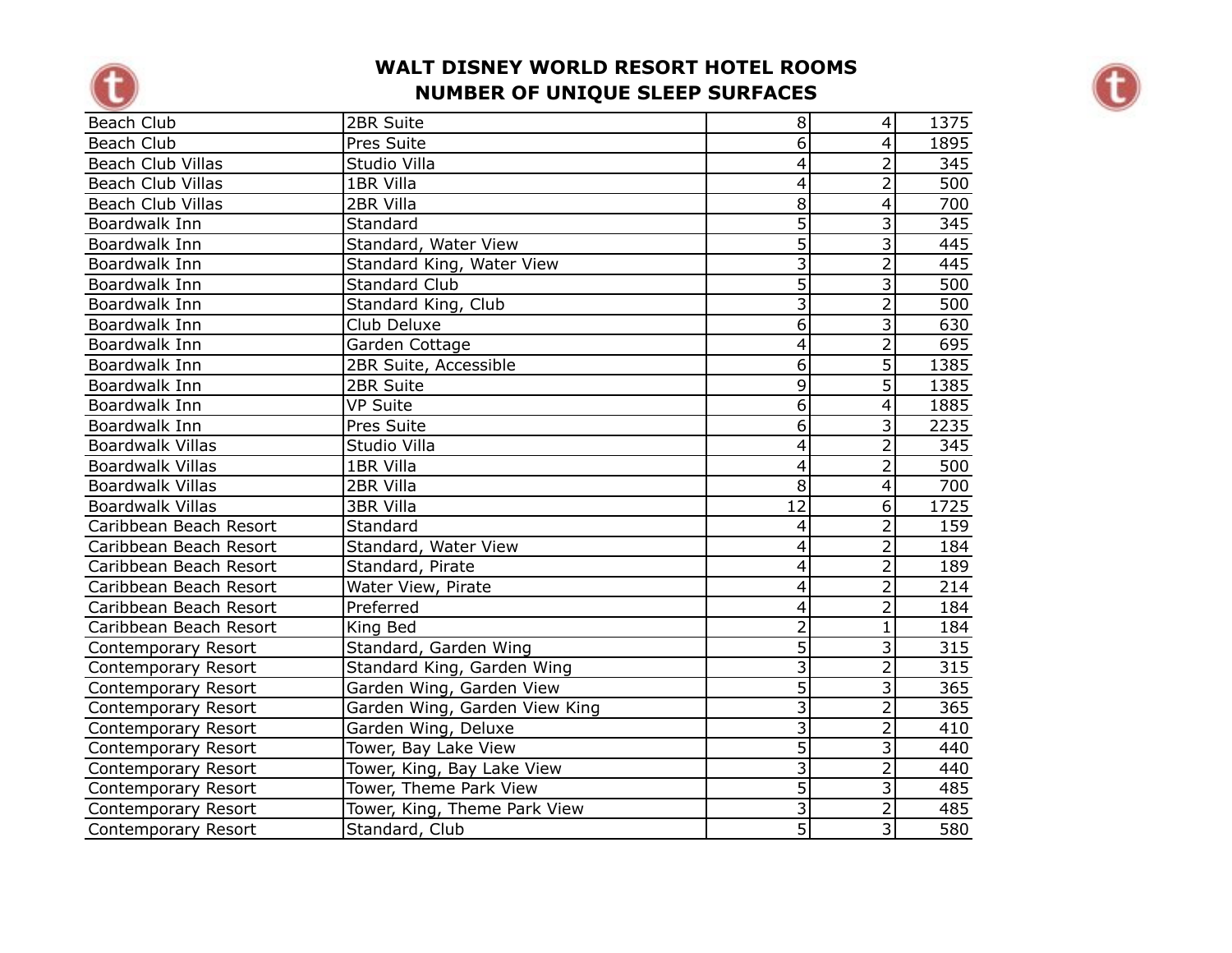



| Beach Club                 | 2BR Suite                     | 8 <sup>1</sup>            | $\overline{4}$ | 1375 |
|----------------------------|-------------------------------|---------------------------|----------------|------|
| Beach Club                 | Pres Suite                    | $\overline{6}$            | $\overline{4}$ | 1895 |
| Beach Club Villas          | Studio Villa                  | 4                         | 2              | 345  |
| <b>Beach Club Villas</b>   | 1BR Villa                     | $\overline{\mathbf{4}}$   | 2              | 500  |
| <b>Beach Club Villas</b>   | 2BR Villa                     | $\overline{8}$            | 4              | 700  |
| Boardwalk Inn              | Standard                      | $\overline{5}$            | 3              | 345  |
| Boardwalk Inn              | Standard, Water View          | $\overline{5}$            | 3              | 445  |
| Boardwalk Inn              | Standard King, Water View     | $\overline{3}$            | $\overline{2}$ | 445  |
| Boardwalk Inn              | <b>Standard Club</b>          | $\overline{5}$            | $\overline{3}$ | 500  |
| Boardwalk Inn              | Standard King, Club           | $\overline{3}$            | $\overline{2}$ | 500  |
| Boardwalk Inn              | Club Deluxe                   | $\overline{6}$            | 3              | 630  |
| Boardwalk Inn              | Garden Cottage                | 4                         | $\overline{2}$ | 695  |
| Boardwalk Inn              | 2BR Suite, Accessible         | $\overline{6}$            | $\overline{5}$ | 1385 |
| Boardwalk Inn              | 2BR Suite                     | $\overline{9}$            | 5              | 1385 |
| Boardwalk Inn              | <b>VP Suite</b>               | $\overline{6}$            | 4              | 1885 |
| Boardwalk Inn              | Pres Suite                    | $\overline{6}$            | 3              | 2235 |
| <b>Boardwalk Villas</b>    | Studio Villa                  | 4                         | 2              | 345  |
| <b>Boardwalk Villas</b>    | 1BR Villa                     | $\overline{\mathbf{4}}$   | $\overline{2}$ | 500  |
| <b>Boardwalk Villas</b>    | 2BR Villa                     | $\overline{8}$            | $\overline{4}$ | 700  |
| <b>Boardwalk Villas</b>    | <b>3BR Villa</b>              | $\overline{12}$           | 6              | 1725 |
| Caribbean Beach Resort     | Standard                      | 4                         | $\overline{2}$ | 159  |
| Caribbean Beach Resort     | Standard, Water View          | $\overline{\mathbf{4}}$   | $\overline{2}$ | 184  |
| Caribbean Beach Resort     | Standard, Pirate              | 4                         | $\overline{2}$ | 189  |
| Caribbean Beach Resort     | Water View, Pirate            | 4                         | $\overline{2}$ | 214  |
| Caribbean Beach Resort     | Preferred                     | $\overline{\mathbf{4}}$   | $\overline{2}$ | 184  |
| Caribbean Beach Resort     | King Bed                      | $\overline{2}$            | $\mathbf{1}$   | 184  |
| Contemporary Resort        | Standard, Garden Wing         | 5                         | 3              | 315  |
| Contemporary Resort        | Standard King, Garden Wing    | $\overline{3}$            | $\overline{2}$ | 315  |
| Contemporary Resort        | Garden Wing, Garden View      | $\overline{5}$            | $\overline{3}$ | 365  |
| Contemporary Resort        | Garden Wing, Garden View King | $\overline{3}$            | $\overline{2}$ | 365  |
| Contemporary Resort        | Garden Wing, Deluxe           | $\overline{3}$            | $\overline{2}$ | 410  |
| Contemporary Resort        | Tower, Bay Lake View          | $\overline{5}$            | 3              | 440  |
| Contemporary Resort        | Tower, King, Bay Lake View    | $\overline{\overline{3}}$ | $\overline{2}$ | 440  |
| Contemporary Resort        | Tower, Theme Park View        | $\overline{5}$            | 3              | 485  |
| Contemporary Resort        | Tower, King, Theme Park View  | $\overline{3}$            | $\overline{2}$ | 485  |
| <b>Contemporary Resort</b> | Standard, Club                | $\overline{5}$            | $\overline{3}$ | 580  |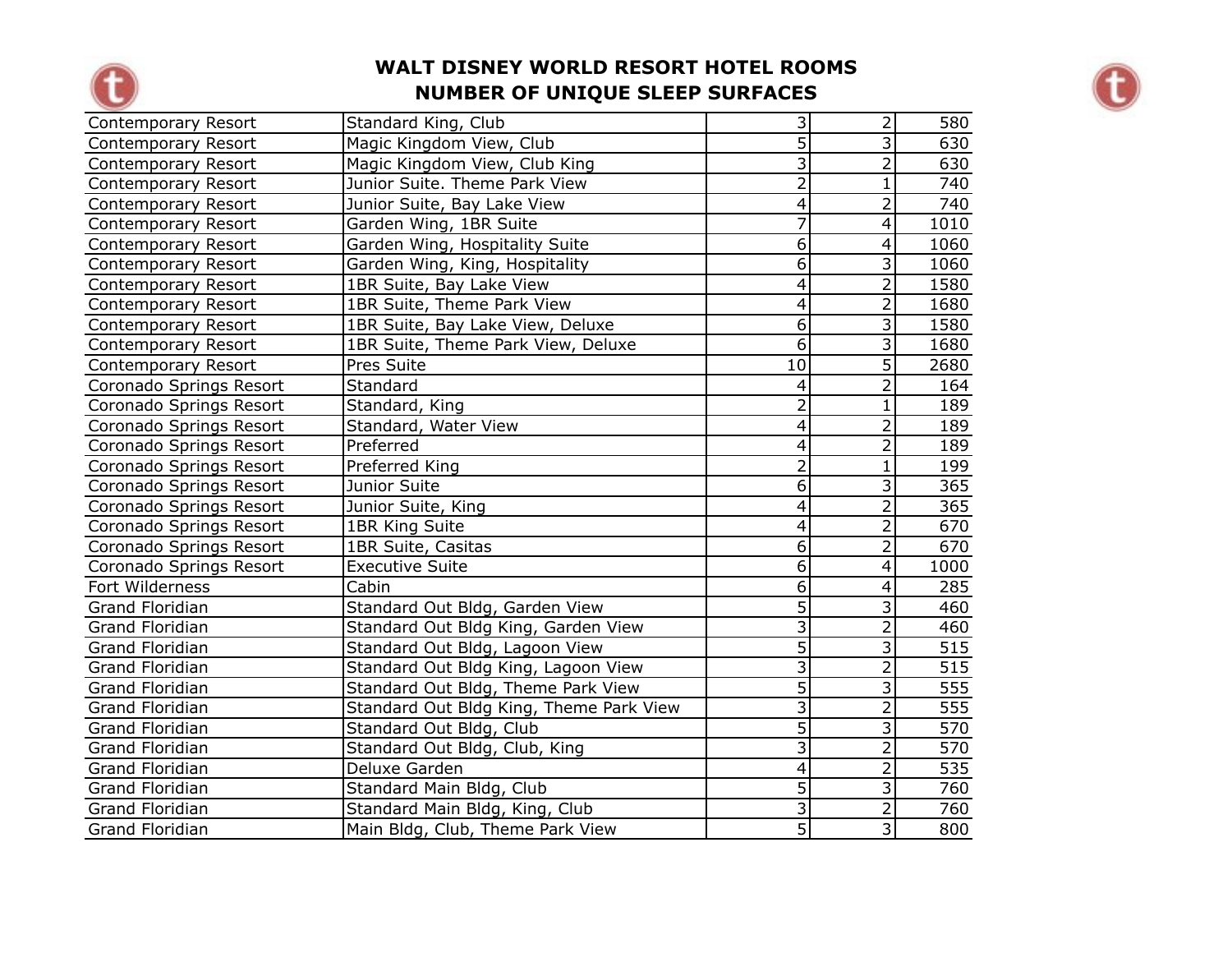



| Contemporary Resort     | Standard King, Club                     | $\overline{3}$            | 2                         | 580              |
|-------------------------|-----------------------------------------|---------------------------|---------------------------|------------------|
| Contemporary Resort     | Magic Kingdom View, Club                | $\overline{5}$            | 3                         | 630              |
| Contemporary Resort     | Magic Kingdom View, Club King           | $\overline{\overline{3}}$ | $\overline{2}$            | 630              |
| Contemporary Resort     | Junior Suite. Theme Park View           | $\overline{2}$            | $\mathbf{1}$              | 740              |
| Contemporary Resort     | Junior Suite, Bay Lake View             | 4                         | $\overline{2}$            | 740              |
| Contemporary Resort     | Garden Wing, 1BR Suite                  | $\overline{7}$            | $\overline{\mathbf{4}}$   | 1010             |
| Contemporary Resort     | Garden Wing, Hospitality Suite          | $\overline{6}$            | $\overline{4}$            | 1060             |
| Contemporary Resort     | Garden Wing, King, Hospitality          | 6                         | $\overline{3}$            | 1060             |
| Contemporary Resort     | 1BR Suite, Bay Lake View                | 4                         | $\overline{2}$            | 1580             |
| Contemporary Resort     | 1BR Suite, Theme Park View              | $\overline{4}$            | $\overline{2}$            | 1680             |
| Contemporary Resort     | 1BR Suite, Bay Lake View, Deluxe        | $\overline{6}$            | $\overline{3}$            | 1580             |
| Contemporary Resort     | 1BR Suite, Theme Park View, Deluxe      | $\overline{6}$            | $\overline{\mathbf{3}}$   | 1680             |
| Contemporary Resort     | Pres Suite                              | 10                        | $\overline{5}$            | 2680             |
| Coronado Springs Resort | Standard                                | $\overline{4}$            | $\overline{2}$            | 164              |
| Coronado Springs Resort | Standard, King                          | $\overline{2}$            | $\mathbf{1}$              | 189              |
| Coronado Springs Resort | Standard, Water View                    | $\overline{4}$            | $\overline{2}$            | 189              |
| Coronado Springs Resort | Preferred                               | 4                         | $\overline{2}$            | 189              |
| Coronado Springs Resort | Preferred King                          | $\overline{2}$            | $\mathbf 1$               | 199              |
| Coronado Springs Resort | Junior Suite                            | $\overline{6}$            | $\overline{\overline{3}}$ | 365              |
| Coronado Springs Resort | Junior Suite, King                      | 4                         | $\overline{2}$            | 365              |
| Coronado Springs Resort | 1BR King Suite                          | $\overline{4}$            | $\overline{2}$            | 670              |
| Coronado Springs Resort | 1BR Suite, Casitas                      | 6                         | $\overline{2}$            | 670              |
| Coronado Springs Resort | <b>Executive Suite</b>                  | 6                         | 4                         | 1000             |
| Fort Wilderness         | Cabin                                   | $\overline{6}$            | 4                         | 285              |
| <b>Grand Floridian</b>  | Standard Out Bldg, Garden View          | $\overline{5}$            | $\overline{3}$            | 460              |
| Grand Floridian         | Standard Out Bldg King, Garden View     | $\overline{3}$            | $\overline{2}$            | 460              |
| Grand Floridian         | Standard Out Bldg, Lagoon View          | $\overline{5}$            | 3                         | 515              |
| Grand Floridian         | Standard Out Bldg King, Lagoon View     | $\overline{3}$            | $\overline{2}$            | $\overline{515}$ |
| Grand Floridian         | Standard Out Bldg, Theme Park View      | $\overline{5}$            | $\overline{3}$            | 555              |
| Grand Floridian         | Standard Out Bldg King, Theme Park View | $\overline{\overline{3}}$ | $\overline{2}$            | 555              |
| <b>Grand Floridian</b>  | Standard Out Bldg, Club                 | $\overline{5}$            | 3                         | 570              |
| <b>Grand Floridian</b>  | Standard Out Bldg, Club, King           | $\overline{\overline{3}}$ | $\overline{2}$            | 570              |
| Grand Floridian         | Deluxe Garden                           | 4                         | $\overline{2}$            | 535              |
| Grand Floridian         | Standard Main Bldg, Club                | $\overline{5}$            | $\overline{3}$            | 760              |
| Grand Floridian         | Standard Main Bldg, King, Club          | $\overline{3}$            | $\overline{2}$            | 760              |
| Grand Floridian         | Main Bldg, Club, Theme Park View        | $\overline{5}$            | $\overline{3}$            | 800              |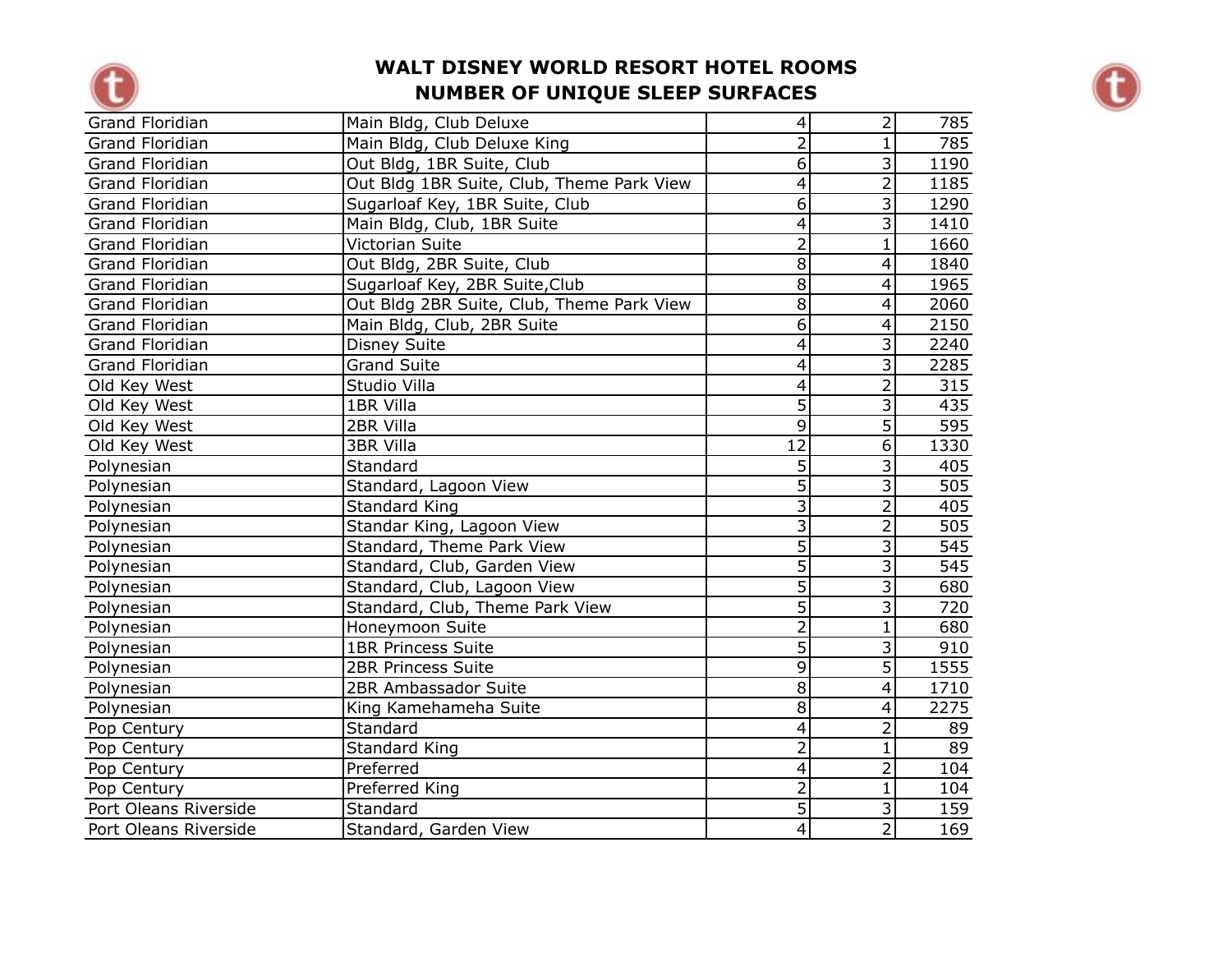



| <b>Grand Floridian</b> | Main Bldg, Club Deluxe                    | $\overline{\mathbf{4}}$ | $\overline{2}$ | 785  |
|------------------------|-------------------------------------------|-------------------------|----------------|------|
| <b>Grand Floridian</b> | Main Bldg, Club Deluxe King               | $\overline{2}$          | $\mathbf{1}$   | 785  |
| <b>Grand Floridian</b> | Out Bldg, 1BR Suite, Club                 | $\overline{6}$          | 3              | 1190 |
| <b>Grand Floridian</b> | Out Bldg 1BR Suite, Club, Theme Park View | $\overline{4}$          | $\overline{2}$ | 1185 |
| <b>Grand Floridian</b> | Sugarloaf Key, 1BR Suite, Club            | 6                       | 3              | 1290 |
| <b>Grand Floridian</b> | Main Bldg, Club, 1BR Suite                | 4                       | 3              | 1410 |
| <b>Grand Floridian</b> | Victorian Suite                           | $\overline{2}$          | $\mathbf{1}$   | 1660 |
| <b>Grand Floridian</b> | Out Bldg, 2BR Suite, Club                 | $\overline{8}$          | 4              | 1840 |
| <b>Grand Floridian</b> | Sugarloaf Key, 2BR Suite, Club            | 8                       | 4              | 1965 |
| <b>Grand Floridian</b> | Out Bldg 2BR Suite, Club, Theme Park View | 8                       | 4              | 2060 |
| <b>Grand Floridian</b> | Main Bldg, Club, 2BR Suite                | $\overline{6}$          | 4              | 2150 |
| <b>Grand Floridian</b> | <b>Disney Suite</b>                       | $\overline{\mathbf{4}}$ | $\overline{3}$ | 2240 |
| <b>Grand Floridian</b> | <b>Grand Suite</b>                        | $\overline{4}$          | 3              | 2285 |
| Old Key West           | Studio Villa                              | $\overline{4}$          | $\overline{2}$ | 315  |
| Old Key West           | 1BR Villa                                 | $\overline{5}$          | 3              | 435  |
| Old Key West           | 2BR Villa                                 | $\overline{9}$          | $\overline{5}$ | 595  |
| Old Key West           | <b>3BR Villa</b>                          | $\overline{12}$         | 6              | 1330 |
| Polynesian             | Standard                                  | 5                       | 3              | 405  |
| Polynesian             | Standard, Lagoon View                     | $\overline{5}$          | 3              | 505  |
| Polynesian             | <b>Standard King</b>                      | $\overline{3}$          | $\overline{2}$ | 405  |
| Polynesian             | Standar King, Lagoon View                 | $\overline{3}$          | $\overline{2}$ | 505  |
| Polynesian             | Standard, Theme Park View                 | $\overline{5}$          | 3              | 545  |
| Polynesian             | Standard, Club, Garden View               | $\overline{5}$          | 3              | 545  |
| Polynesian             | Standard, Club, Lagoon View               | $\overline{5}$          | $\overline{3}$ | 680  |
| Polynesian             | Standard, Club, Theme Park View           | $\overline{5}$          | 3              | 720  |
| Polynesian             | Honeymoon Suite                           | $\overline{2}$          | $\mathbf{1}$   | 680  |
| Polynesian             | <b>1BR Princess Suite</b>                 | $\overline{5}$          | 3              | 910  |
| Polynesian             | <b>2BR Princess Suite</b>                 | $\overline{9}$          | $\overline{5}$ | 1555 |
| Polynesian             | 2BR Ambassador Suite                      | $\overline{8}$          | 4              | 1710 |
| Polynesian             | King Kamehameha Suite                     | $\overline{8}$          | 4              | 2275 |
| Pop Century            | Standard                                  | $\overline{4}$          | $\overline{2}$ | 89   |
| Pop Century            | Standard King                             | $\overline{2}$          | 1              | 89   |
| Pop Century            | Preferred                                 | 4                       | $\overline{2}$ | 104  |
| Pop Century            | Preferred King                            | $\overline{2}$          | 1              | 104  |
| Port Oleans Riverside  | Standard                                  | $\overline{5}$          | 3              | 159  |
| Port Oleans Riverside  | Standard, Garden View                     | $\overline{4}$          | $\overline{2}$ | 169  |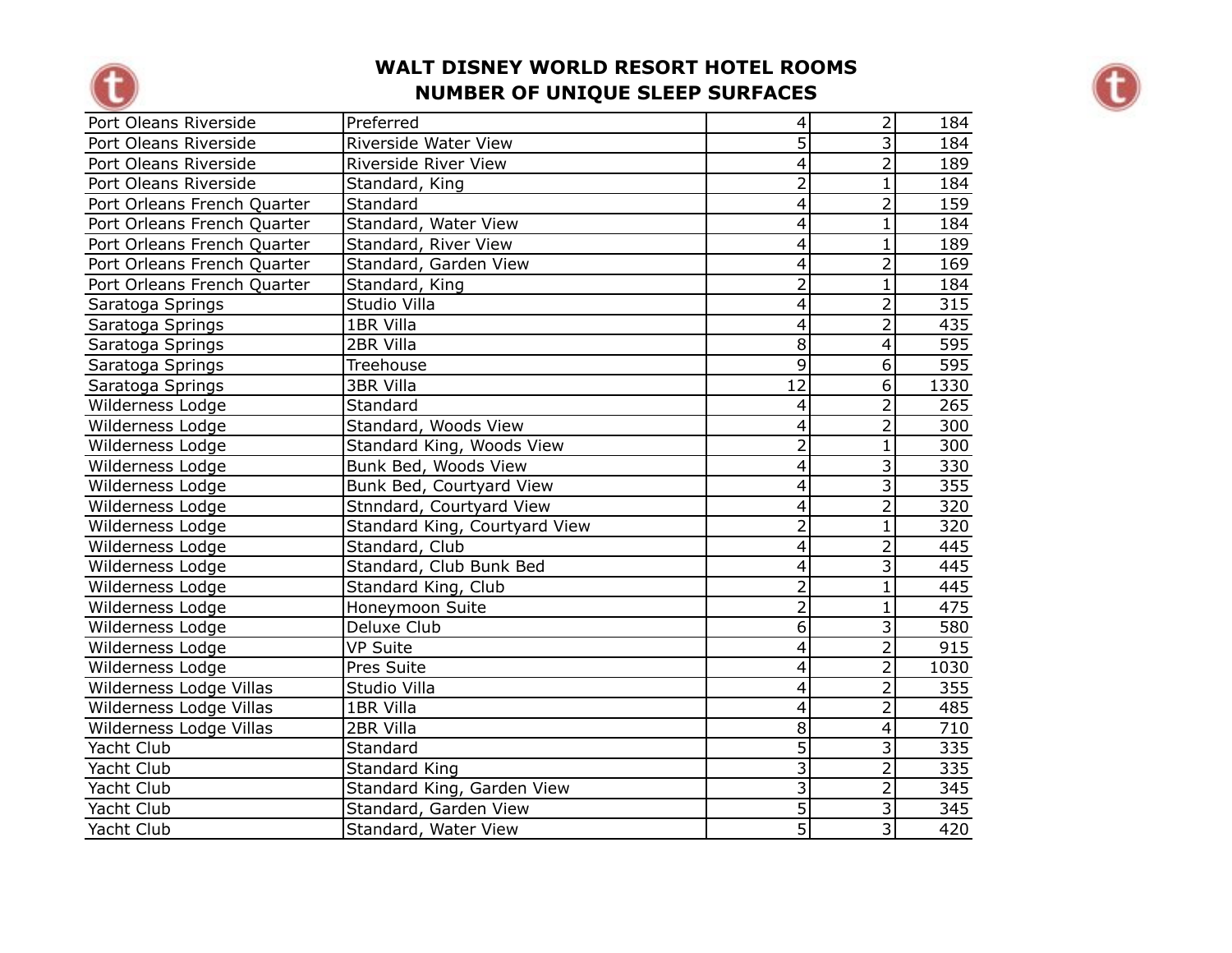



| Port Oleans Riverside       | Preferred                     | $\overline{\mathbf{4}}$ | $\overline{2}$ | 184  |
|-----------------------------|-------------------------------|-------------------------|----------------|------|
| Port Oleans Riverside       | Riverside Water View          | $\overline{5}$          | $\overline{3}$ | 184  |
| Port Oleans Riverside       | <b>Riverside River View</b>   | 4                       | $\overline{2}$ | 189  |
| Port Oleans Riverside       | Standard, King                | $\overline{2}$          | $\mathbf{1}$   | 184  |
| Port Orleans French Quarter | Standard                      | $\overline{\mathbf{4}}$ | $\overline{2}$ | 159  |
| Port Orleans French Quarter | Standard, Water View          | 4                       | $\mathbf{1}$   | 184  |
| Port Orleans French Quarter | Standard, River View          | 4                       | $\mathbf{1}$   | 189  |
| Port Orleans French Quarter | Standard, Garden View         | 4                       | $\overline{2}$ | 169  |
| Port Orleans French Quarter | Standard, King                | $\overline{2}$          | $\mathbf{1}$   | 184  |
| Saratoga Springs            | Studio Villa                  | 4                       | $\overline{2}$ | 315  |
| Saratoga Springs            | 1BR Villa                     | 4                       | $\overline{2}$ | 435  |
| Saratoga Springs            | 2BR Villa                     | $\overline{8}$          | $\overline{4}$ | 595  |
| Saratoga Springs            | Treehouse                     | $\overline{9}$          | $\overline{6}$ | 595  |
| Saratoga Springs            | <b>3BR Villa</b>              | $\overline{12}$         | $\overline{6}$ | 1330 |
| Wilderness Lodge            | Standard                      | $\overline{\mathbf{4}}$ | $\overline{2}$ | 265  |
| Wilderness Lodge            | Standard, Woods View          | $\overline{\mathbf{4}}$ | $\overline{2}$ | 300  |
| Wilderness Lodge            | Standard King, Woods View     | $\overline{2}$          | $\mathbf{1}$   | 300  |
| Wilderness Lodge            | Bunk Bed, Woods View          | $\overline{4}$          | 3              | 330  |
| Wilderness Lodge            | Bunk Bed, Courtyard View      | 4                       | 3              | 355  |
| Wilderness Lodge            | Stnndard, Courtyard View      | 4                       | $\overline{2}$ | 320  |
| Wilderness Lodge            | Standard King, Courtyard View | $\overline{2}$          | $\mathbf{1}$   | 320  |
| Wilderness Lodge            | Standard, Club                | $\overline{4}$          | $\overline{2}$ | 445  |
| Wilderness Lodge            | Standard, Club Bunk Bed       | $\overline{\mathbf{4}}$ | $\overline{3}$ | 445  |
| Wilderness Lodge            | Standard King, Club           | $\overline{2}$          | $\mathbf{1}$   | 445  |
| Wilderness Lodge            | Honeymoon Suite               | $\overline{2}$          | $\mathbf{1}$   | 475  |
| Wilderness Lodge            | Deluxe Club                   | $\overline{6}$          | $\overline{3}$ | 580  |
| Wilderness Lodge            | <b>VP Suite</b>               | 4                       | $\overline{2}$ | 915  |
| Wilderness Lodge            | Pres Suite                    | $\overline{4}$          | $\overline{2}$ | 1030 |
| Wilderness Lodge Villas     | Studio Villa                  | $\overline{\mathbf{4}}$ | $\overline{2}$ | 355  |
| Wilderness Lodge Villas     | 1BR Villa                     | $\overline{\mathbf{4}}$ | $\overline{2}$ | 485  |
| Wilderness Lodge Villas     | 2BR Villa                     | $\overline{8}$          | $\overline{4}$ | 710  |
| Yacht Club                  | Standard                      | $\overline{5}$          | 3              | 335  |
| Yacht Club                  | <b>Standard King</b>          | $\overline{3}$          | $\overline{2}$ | 335  |
| Yacht Club                  | Standard King, Garden View    | $\overline{\mathbf{3}}$ | $\overline{2}$ | 345  |
| Yacht Club                  | Standard, Garden View         | $\overline{5}$          | $\overline{3}$ | 345  |
| Yacht Club                  | Standard, Water View          | $\overline{5}$          | $\overline{3}$ | 420  |